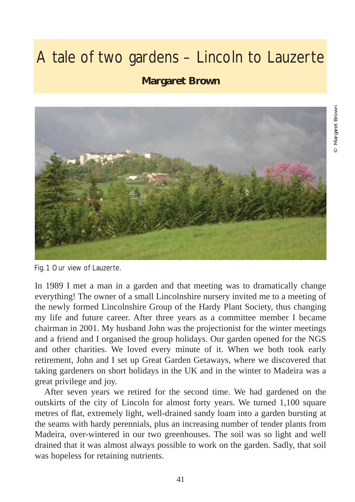## A tale of two gardens – Lincoln to Lauzerte

## **Margaret Brown**



Fig. 1 Our view of Lauzerte.

In 1989 I met a man in a garden and that meeting was to dramatically change everything! The owner of a small Lincolnshire nursery invited me to a meeting of the newly formed Lincolnshire Group of the Hardy Plant Society, thus changing my life and future career. After three years as a committee member I became chairman in 2001. My husband John was the projectionist for the winter meetings and a friend and I organised the group holidays. Our garden opened for the NGS and other charities. We loved every minute of it. When we both took early retirement, John and I set up Great Garden Getaways, where we discovered that taking gardeners on short holidays in the UK and in the winter to Madeira was a great privilege and joy.

After seven years we retired for the second time. We had gardened on the outskirts of the city of Lincoln for almost forty years. We turned 1,100 square metres of flat, extremely light, well-drained sandy loam into a garden bursting at the seams with hardy perennials, plus an increasing number of tender plants from Madeira, over-wintered in our two greenhouses. The soil was so light and well drained that it was almost always possible to work on the garden. Sadly, that soil was hopeless for retaining nutrients.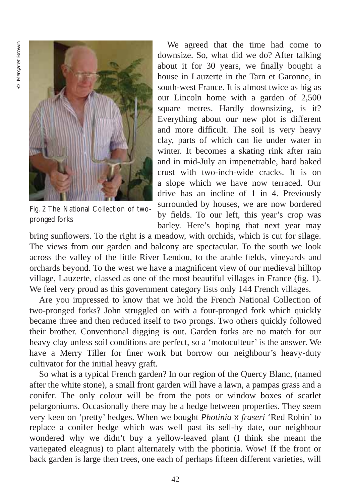

Fig. 2 The National Collection of twopronged forks

We agreed that the time had come to downsize. So, what did we do? After talking about it for 30 years, we finally bought a house in Lauzerte in the Tarn et Garonne, in south-west France. It is almost twice as big as our Lincoln home with a garden of 2,500 square metres. Hardly downsizing, is it? Everything about our new plot is different and more difficult. The soil is very heavy clay, parts of which can lie under water in winter. It becomes a skating rink after rain and in mid-July an impenetrable, hard baked crust with two-inch-wide cracks. It is on a slope which we have now terraced. Our drive has an incline of 1 in 4. Previously surrounded by houses, we are now bordered by fields. To our left, this year's crop was barley. Here's hoping that next year may

bring sunflowers. To the right is a meadow, with orchids, which is cut for silage. The views from our garden and balcony are spectacular. To the south we look across the valley of the little River Lendou, to the arable fields, vineyards and orchards beyond. To the west we have a magnificent view of our medieval hilltop village, Lauzerte, classed as one of the most beautiful villages in France (fig. 1). We feel very proud as this government category lists only 144 French villages.

Are you impressed to know that we hold the French National Collection of two-pronged forks? John struggled on with a four-pronged fork which quickly became three and then reduced itself to two prongs. Two others quickly followed their brother. Conventional digging is out. Garden forks are no match for our heavy clay unless soil conditions are perfect, so a 'motoculteur' is the answer. We have a Merry Tiller for finer work but borrow our neighbour's heavy-duty cultivator for the initial heavy graft.

So what is a typical French garden? In our region of the Quercy Blanc, (named after the white stone), a small front garden will have a lawn, a pampas grass and a conifer. The only colour will be from the pots or window boxes of scarlet pelargoniums. Occasionally there may be a hedge between properties. They seem very keen on 'pretty' hedges. When we bought *Photinia* x *fraseri* 'Red Robin' to replace a conifer hedge which was well past its sell-by date, our neighbour wondered why we didn't buy a yellow-leaved plant (I think she meant the variegated eleagnus) to plant alternately with the photinia. Wow! If the front or back garden is large then trees, one each of perhaps fifteen different varieties, will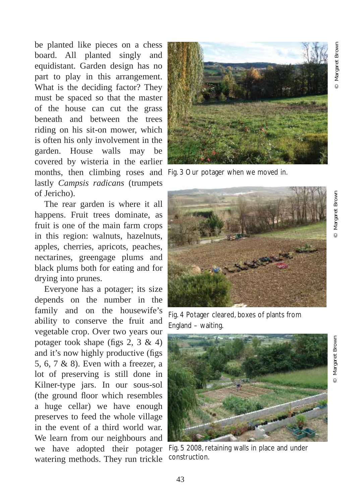be planted like pieces on a chess board. All planted singly and equidistant. Garden design has no part to play in this arrangement. What is the deciding factor? They must be spaced so that the master of the house can cut the grass beneath and between the trees riding on his sit-on mower, which is often his only involvement in the garden. House walls may be covered by wisteria in the earlier months, then climbing roses and Fig. 3 Our potager when we moved in. lastly *Campsis radicans* (trumpets of Jericho).

The rear garden is where it all happens. Fruit trees dominate, as fruit is one of the main farm crops in this region: walnuts, hazelnuts, apples, cherries, apricots, peaches, nectarines, greengage plums and black plums both for eating and for drying into prunes.

Everyone has a potager; its size depends on the number in the family and on the housewife's ability to conserve the fruit and vegetable crop. Over two years our potager took shape (figs  $2, 3 \& 4$ ) and it's now highly productive (figs 5, 6, 7 & 8). Even with a freezer, a lot of preserving is still done in Kilner-type jars. In our sous-sol (the ground floor which resembles a huge cellar) we have enough preserves to feed the whole village in the event of a third world war. We learn from our neighbours and we have adopted their potager watering methods. They run trickle





Fig. 4 Potager cleared, boxes of plants from England – waiting.



Fig. 5 2008, retaining walls in place and under construction.

© Margaret Brown

Margaret Brown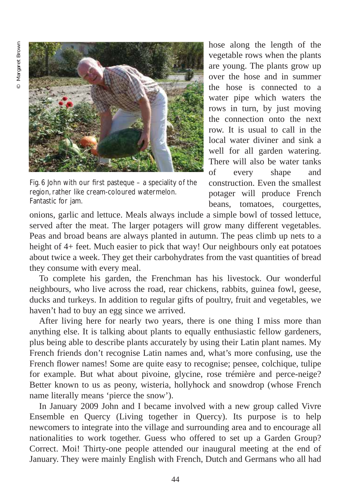

Fig. 6 John with our first pasteque – a speciality of the region, rather like cream-coloured watermelon. Fantastic for jam.

hose along the length of the vegetable rows when the plants are young. The plants grow up over the hose and in summer the hose is connected to a water pipe which waters the rows in turn, by just moving the connection onto the next row. It is usual to call in the local water diviner and sink a well for all garden watering. There will also be water tanks of every shape and construction. Even the smallest potager will produce French beans, tomatoes, courgettes,

onions, garlic and lettuce. Meals always include a simple bowl of tossed lettuce, served after the meat. The larger potagers will grow many different vegetables. Peas and broad beans are always planted in autumn. The peas climb up nets to a height of 4+ feet. Much easier to pick that way! Our neighbours only eat potatoes about twice a week. They get their carbohydrates from the vast quantities of bread they consume with every meal.

To complete his garden, the Frenchman has his livestock. Our wonderful neighbours, who live across the road, rear chickens, rabbits, guinea fowl, geese, ducks and turkeys. In addition to regular gifts of poultry, fruit and vegetables, we haven't had to buy an egg since we arrived.

After living here for nearly two years, there is one thing I miss more than anything else. It is talking about plants to equally enthusiastic fellow gardeners, plus being able to describe plants accurately by using their Latin plant names. My French friends don't recognise Latin names and, what's more confusing, use the French flower names! Some are quite easy to recognise; pensee, colchique, tulipe for example. But what about pivoine, glycine, rose trémière and perce-neige? Better known to us as peony, wisteria, hollyhock and snowdrop (whose French name literally means 'pierce the snow').

In January 2009 John and I became involved with a new group called Vivre Ensemble en Quercy (Living together in Quercy). Its purpose is to help newcomers to integrate into the village and surrounding area and to encourage all nationalities to work together. Guess who offered to set up a Garden Group? Correct. Moi! Thirty-one people attended our inaugural meeting at the end of January. They were mainly English with French, Dutch and Germans who all had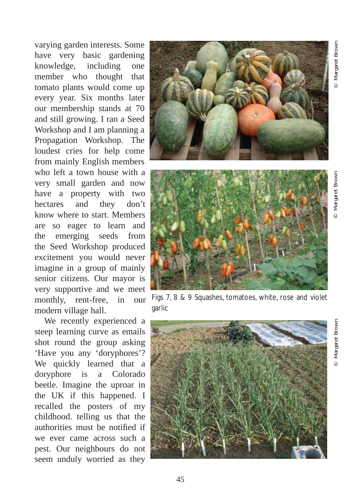Margaret Brown © Margaret Brown

Margaret Brown © Margaret Brown

varying garden interests. Some have very basic gardening knowledge, including one member who thought that tomato plants would come up every year. Six months later our membership stands at 70 and still growing. I ran a Seed Workshop and I am planning a Propagation Workshop. The loudest cries for help come from mainly English members who left a town house with a very small garden and now have a property with two hectares and they don't know where to start. Members are so eager to learn and the emerging seeds from the Seed Workshop produced excitement you would never imagine in a group of mainly senior citizens. Our mayor is very supportive and we meet monthly, rent-free, in our modern village hall.

We recently experienced a steep learning curve as emails shot round the group asking 'Have you any 'doryphores'? We quickly learned that a doryphore is a Colorado beetle. Imagine the uproar in the UK if this happened. I recalled the posters of my childhood. telling us that the authorities must be notified if we ever came across such a pest. Our neighbours do not seem unduly worried as they





Figs 7, 8 & 9 Squashes, tomatoes, white, rose and violet **garlic** 

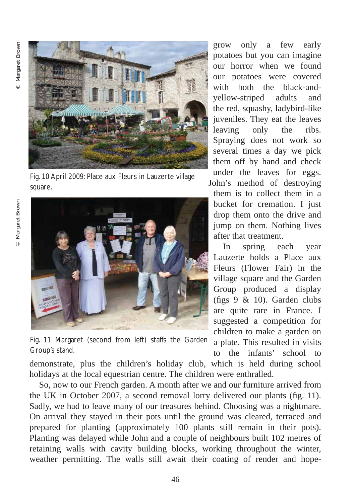

Fig. 10 April 2009: Place aux Fleurs in Lauzerte village square.

<sup>©</sup> Margaret Brown © Margaret Brown



Fig. 11 Margaret (second from left) staffs the Garden Group's stand.

grow only a few early potatoes but you can imagine our horror when we found our potatoes were covered with both the black-andyellow-striped adults and the red, squashy, ladybird-like juveniles. They eat the leaves leaving only the ribs. Spraying does not work so several times a day we pick them off by hand and check under the leaves for eggs. John's method of destroying

them is to collect them in a bucket for cremation. I just drop them onto the drive and jump on them. Nothing lives after that treatment.

In spring each year Lauzerte holds a Place aux Fleurs (Flower Fair) in the village square and the Garden Group produced a display (figs 9 & 10). Garden clubs are quite rare in France. I suggested a competition for children to make a garden on a plate. This resulted in visits to the infants' school to

demonstrate, plus the children's holiday club, which is held during school holidays at the local equestrian centre. The children were enthralled.

So, now to our French garden. A month after we and our furniture arrived from the UK in October 2007, a second removal lorry delivered our plants (fig. 11). Sadly, we had to leave many of our treasures behind. Choosing was a nightmare. On arrival they stayed in their pots until the ground was cleared, terraced and prepared for planting (approximately 100 plants still remain in their pots). Planting was delayed while John and a couple of neighbours built 102 metres of retaining walls with cavity building blocks, working throughout the winter, weather permitting. The walls still await their coating of render and hope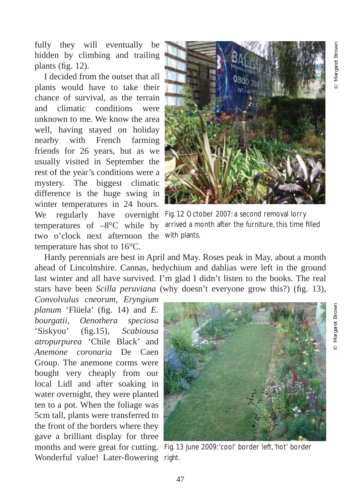fully they will eventually be hidden by climbing and trailing plants (fig. 12).

I decided from the outset that all plants would have to take their chance of survival, as the terrain and climatic conditions were unknown to me. We know the area well, having stayed on holiday nearby with French farming friends for 26 years, but as we usually visited in September the rest of the year's conditions were a mystery. The biggest climatic difference is the huge swing in winter temperatures in 24 hours. two o'clock next afternoon the with plants. temperature has shot to 16°C.



We regularly have overnight Fig. 12 October 2007: a second removal lorry temperatures of  $-8^{\circ}\text{C}$  while by arrived a month after the furniture, this time filled

Hardy perennials are best in April and May. Roses peak in May, about a month ahead of Lincolnshire. Cannas, hedychium and dahlias were left in the ground last winter and all have survived. I'm glad I didn't listen to the books. The real stars have been *Scilla peruviana* (why doesn't everyone grow this?) (fig. 13),

*Convolvulus cneorum*, *Eryngium planum* 'Flüela' (fig. 14) and *E. bourgatii*, *Oenothera speciosa* 'Siskyou' (fig.15), *Scabiousa atropurpurea* 'Chile Black' and *Anemone coronaria* De Caen Group. The anemone corms were bought very cheaply from our local Lidl and after soaking in water overnight, they were planted ten to a pot. When the foliage was 5cm tall, plants were transferred to the front of the borders where they gave a brilliant display for three Wonderful value! Later-flowering right.



months and were great for cutting. Fig. 13 June 2009:'cool' border left,'hot' border